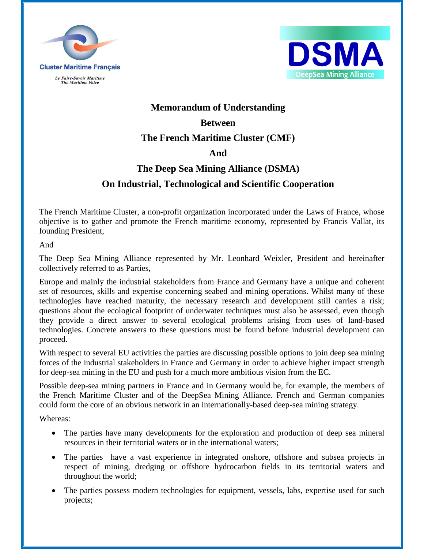



# **Memorandum of Understanding Between**

## **The French Maritime Cluster (CMF)**

### **And**

# **The Deep Sea Mining Alliance (DSMA) On Industrial, Technological and Scientific Cooperation**

The French Maritime Cluster, a non-profit organization incorporated under the Laws of France, whose objective is to gather and promote the French maritime economy, represented by Francis Vallat, its founding President,

And

The Deep Sea Mining Alliance represented by Mr. Leonhard Weixler, President and hereinafter collectively referred to as Parties,

Europe and mainly the industrial stakeholders from France and Germany have a unique and coherent set of resources, skills and expertise concerning seabed and mining operations. Whilst many of these technologies have reached maturity, the necessary research and development still carries a risk; questions about the ecological footprint of underwater techniques must also be assessed, even though they provide a direct answer to several ecological problems arising from uses of land-based technologies. Concrete answers to these questions must be found before industrial development can proceed.

With respect to several EU activities the parties are discussing possible options to join deep sea mining forces of the industrial stakeholders in France and Germany in order to achieve higher impact strength for deep-sea mining in the EU and push for a much more ambitious vision from the EC.

Possible deep-sea mining partners in France and in Germany would be, for example, the members of the French Maritime Cluster and of the DeepSea Mining Alliance. French and German companies could form the core of an obvious network in an internationally-based deep-sea mining strategy.

Whereas:

- The parties have many developments for the exploration and production of deep sea mineral resources in their territorial waters or in the international waters;
- The parties have a vast experience in integrated onshore, offshore and subsea projects in respect of mining, dredging or offshore hydrocarbon fields in its territorial waters and throughout the world;
- The parties possess modern technologies for equipment, vessels, labs, expertise used for such projects;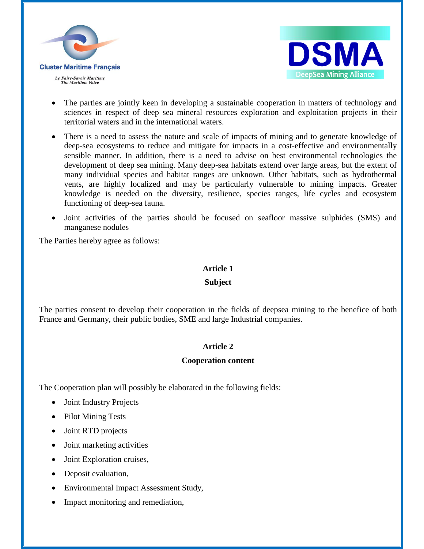



- The parties are jointly keen in developing a sustainable cooperation in matters of technology and sciences in respect of deep sea mineral resources exploration and exploitation projects in their territorial waters and in the international waters.
- There is a need to assess the nature and scale of impacts of mining and to generate knowledge of deep-sea ecosystems to reduce and mitigate for impacts in a cost-effective and environmentally sensible manner. In addition, there is a need to advise on best environmental technologies the development of deep sea mining. Many deep-sea habitats extend over large areas, but the extent of many individual species and habitat ranges are unknown. Other habitats, such as hydrothermal vents, are highly localized and may be particularly vulnerable to mining impacts. Greater knowledge is needed on the diversity, resilience, species ranges, life cycles and ecosystem functioning of deep-sea fauna.
- Joint activities of the parties should be focused on seafloor massive sulphides (SMS) and manganese nodules

The Parties hereby agree as follows:

#### **Article 1**

#### **Subject**

The parties consent to develop their cooperation in the fields of deepsea mining to the benefice of both France and Germany, their public bodies, SME and large Industrial companies.

#### **Article 2**

#### **Cooperation content**

The Cooperation plan will possibly be elaborated in the following fields:

- Joint Industry Projects
- Pilot Mining Tests
- Joint RTD projects
- Joint marketing activities
- Joint Exploration cruises,
- Deposit evaluation,
- Environmental Impact Assessment Study,
- Impact monitoring and remediation,